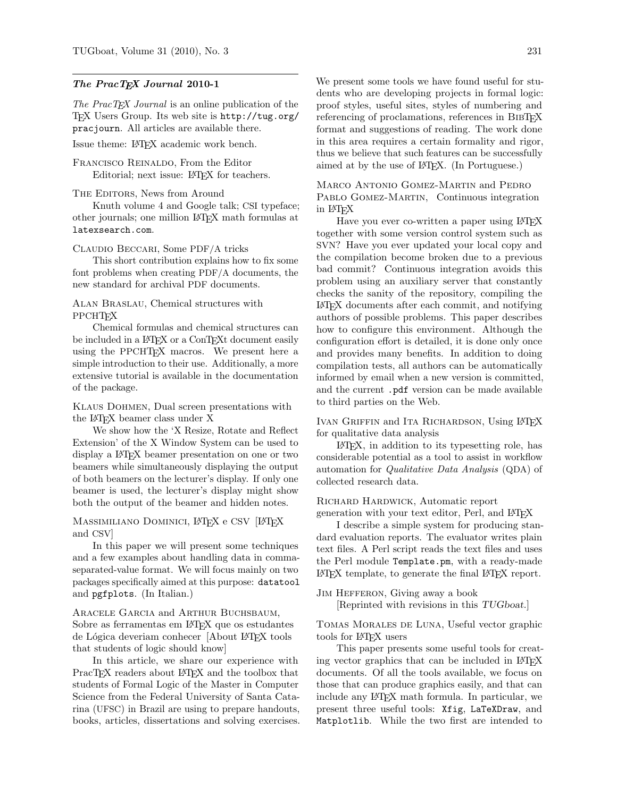#### The PracT<sub>E</sub>X Journal 2010-1

The PracT<sub>E</sub>X Journal is an online publication of the TEX Users Group. Its web site is http://tug.org/ pracjourn. All articles are available there.

Issue theme: LATEX academic work bench.

Francisco Reinaldo, From the Editor Editorial; next issue: LAT<sub>EX</sub> for teachers.

#### THE EDITORS, News from Around

Knuth volume 4 and Google talk; CSI typeface; other journals; one million LATEX math formulas at latexsearch.com.

Claudio Beccari, Some PDF/A tricks

This short contribution explains how to fix some font problems when creating PDF/A documents, the new standard for archival PDF documents.

#### Alan Braslau, Chemical structures with **PPCHT<sub>F</sub>X**

Chemical formulas and chemical structures can be included in a L<sup>AT</sup>FX or a ConTFXt document easily using the PPCHTEX macros. We present here a simple introduction to their use. Additionally, a more extensive tutorial is available in the documentation of the package.

### Klaus Dohmen, Dual screen presentations with the LATEX beamer class under X

We show how the 'X Resize, Rotate and Reflect Extension' of the X Window System can be used to display a LATEX beamer presentation on one or two beamers while simultaneously displaying the output of both beamers on the lecturer's display. If only one beamer is used, the lecturer's display might show both the output of the beamer and hidden notes.

#### MASSIMILIANO DOMINICI, LATEX e CSV [LATEX and CSV]

In this paper we will present some techniques and a few examples about handling data in commaseparated-value format. We will focus mainly on two packages specifically aimed at this purpose: datatool and pgfplots. (In Italian.)

## ARACELE GARCIA and ARTHUR BUCHSBAUM, Sobre as ferramentas em L<sup>AT</sup>FX que os estudantes de Lógica deveriam conhecer [About L<sup>AT</sup>EX tools that students of logic should know]

In this article, we share our experience with PracT<sub>E</sub>X readers about L<sup>AT</sup>E<sub>X</sub> and the toolbox that students of Formal Logic of the Master in Computer Science from the Federal University of Santa Catarina (UFSC) in Brazil are using to prepare handouts, books, articles, dissertations and solving exercises. We present some tools we have found useful for students who are developing projects in formal logic: proof styles, useful sites, styles of numbering and referencing of proclamations, references in BIBTFX format and suggestions of reading. The work done in this area requires a certain formality and rigor, thus we believe that such features can be successfully aimed at by the use of LATEX. (In Portuguese.)

Marco Antonio Gomez-Martin and Pedro PABLO GOMEZ-MARTIN, Continuous integration in LATEX

Have you ever co-written a paper using LATEX together with some version control system such as SVN? Have you ever updated your local copy and the compilation become broken due to a previous bad commit? Continuous integration avoids this problem using an auxiliary server that constantly checks the sanity of the repository, compiling the LATEX documents after each commit, and notifying authors of possible problems. This paper describes how to configure this environment. Although the configuration effort is detailed, it is done only once and provides many benefits. In addition to doing compilation tests, all authors can be automatically informed by email when a new version is committed, and the current .pdf version can be made available to third parties on the Web.

IVAN GRIFFIN and ITA RICHARDSON, Using LATEX for qualitative data analysis

LATEX, in addition to its typesetting role, has considerable potential as a tool to assist in workflow automation for Qualitative Data Analysis (QDA) of collected research data.

# Richard Hardwick, Automatic report

generation with your text editor, Perl, and LATEX

I describe a simple system for producing standard evaluation reports. The evaluator writes plain text files. A Perl script reads the text files and uses the Perl module Template.pm, with a ready-made LATEX template, to generate the final LATEX report.

Jim Hefferon, Giving away a book [Reprinted with revisions in this TUGboat.]

Tomas Morales de Luna, Useful vector graphic tools for LATEX users

This paper presents some useful tools for creating vector graphics that can be included in LAT<sub>F</sub>X documents. Of all the tools available, we focus on those that can produce graphics easily, and that can include any LATEX math formula. In particular, we present three useful tools: Xfig, LaTeXDraw, and Matplotlib. While the two first are intended to